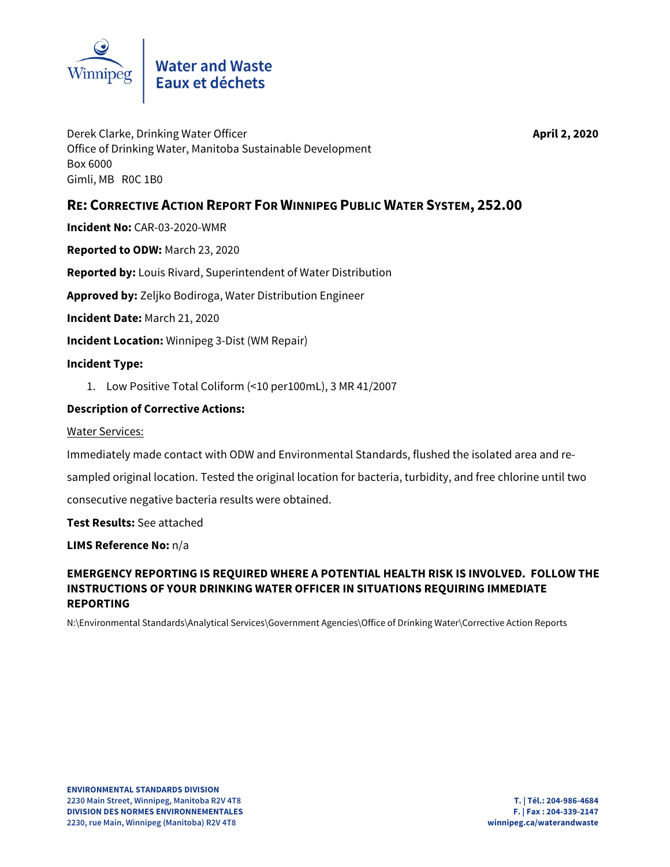

Derek Clarke, Drinking Water Officer **April 2, 2020** Office of Drinking Water, Manitoba Sustainable Development Box 6000 Gimli, MB R0C 1B0

# **RE: CORRECTIVE ACTION REPORT FOR WINNIPEG PUBLIC WATER SYSTEM, 252.00**

**Incident No:** CAR-03-2020-WMR

**Reported to ODW:** March 23, 2020

**Reported by:** Louis Rivard, Superintendent of Water Distribution

**Approved by:** Zeljko Bodiroga, Water Distribution Engineer

**Incident Date:** March 21, 2020

**Incident Location:** Winnipeg 3-Dist (WM Repair)

#### **Incident Type:**

1. Low Positive Total Coliform (<10 per100mL), 3 MR 41/2007

### **Description of Corrective Actions:**

Water Services:

Immediately made contact with ODW and Environmental Standards, flushed the isolated area and re-

sampled original location. Tested the original location for bacteria, turbidity, and free chlorine until two

consecutive negative bacteria results were obtained.

**Test Results:** See attached

**LIMS Reference No:** n/a

### **EMERGENCY REPORTING IS REQUIRED WHERE A POTENTIAL HEALTH RISK IS INVOLVED. FOLLOW THE INSTRUCTIONS OF YOUR DRINKING WATER OFFICER IN SITUATIONS REQUIRING IMMEDIATE REPORTING**

N:\Environmental Standards\Analytical Services\Government Agencies\Office of Drinking Water\Corrective Action Reports